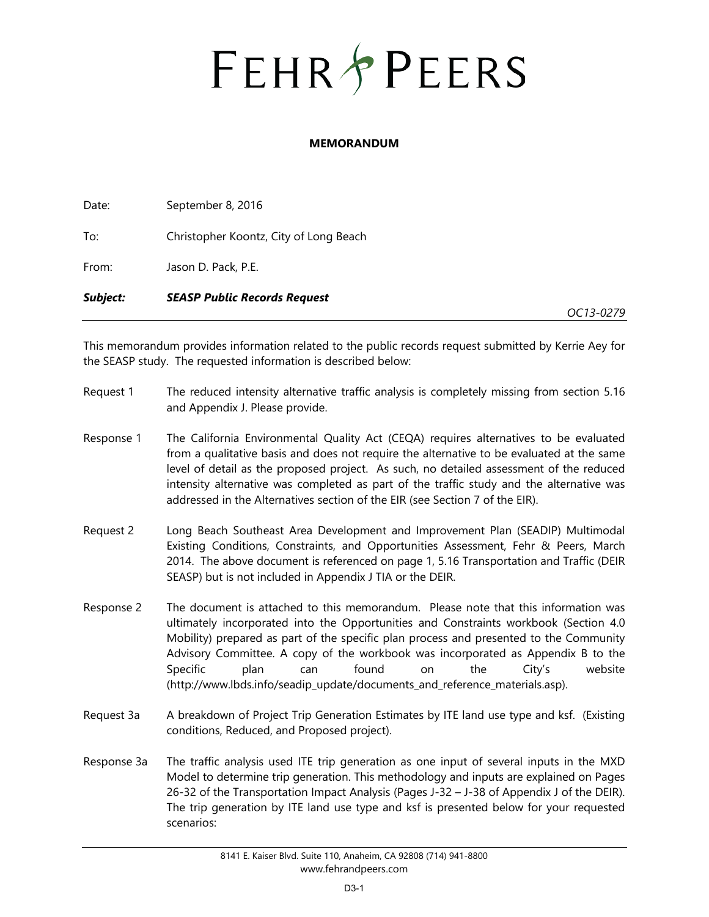# FEHR&PEERS

#### **MEMORANDUM**

Date: September 8, 2016 To: Christopher Koontz, City of Long Beach From: Jason D. Pack, P.E.

*Subject: SEASP Public Records Request* 

*OC13-0279* 

This memorandum provides information related to the public records request submitted by Kerrie Aey for the SEASP study. The requested information is described below:

- Request 1 The reduced intensity alternative traffic analysis is completely missing from section 5.16 and Appendix J. Please provide.
- Response 1 The California Environmental Quality Act (CEQA) requires alternatives to be evaluated from a qualitative basis and does not require the alternative to be evaluated at the same level of detail as the proposed project. As such, no detailed assessment of the reduced intensity alternative was completed as part of the traffic study and the alternative was addressed in the Alternatives section of the EIR (see Section 7 of the EIR).
- Request 2 Long Beach Southeast Area Development and Improvement Plan (SEADIP) Multimodal Existing Conditions, Constraints, and Opportunities Assessment, Fehr & Peers, March 2014. The above document is referenced on page 1, 5.16 Transportation and Traffic (DEIR SEASP) but is not included in Appendix J TIA or the DEIR.
- Response 2 The document is attached to this memorandum. Please note that this information was ultimately incorporated into the Opportunities and Constraints workbook (Section 4.0 Mobility) prepared as part of the specific plan process and presented to the Community Advisory Committee. A copy of the workbook was incorporated as Appendix B to the Specific plan can found on the City's website (http://www.lbds.info/seadip\_update/documents\_and\_reference\_materials.asp).
- Request 3a A breakdown of Project Trip Generation Estimates by ITE land use type and ksf. (Existing conditions, Reduced, and Proposed project).
- Response 3a The traffic analysis used ITE trip generation as one input of several inputs in the MXD Model to determine trip generation. This methodology and inputs are explained on Pages 26-32 of the Transportation Impact Analysis (Pages J-32 – J-38 of Appendix J of the DEIR). The trip generation by ITE land use type and ksf is presented below for your requested scenarios: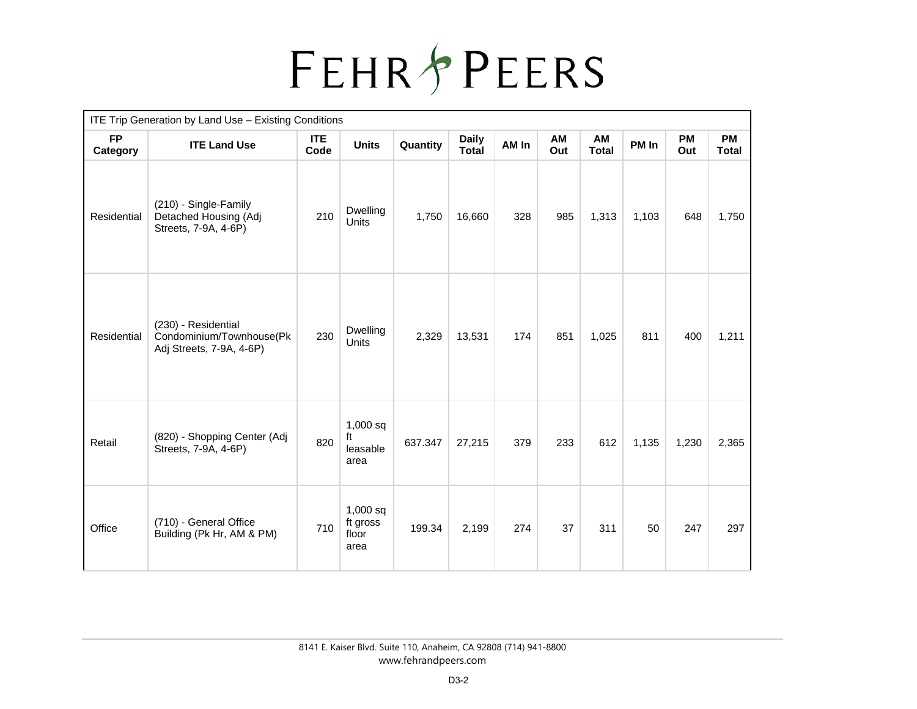## FEHRSPEERS

|                       | ITE Trip Generation by Land Use - Existing Conditions                                                                       |     |                                         |         |                  |                           |     |       |       |       |       |
|-----------------------|-----------------------------------------------------------------------------------------------------------------------------|-----|-----------------------------------------|---------|------------------|---------------------------|-----|-------|-------|-------|-------|
| <b>FP</b><br>Category | <b>Daily</b><br>AM<br><b>ITE</b><br><b>ITE Land Use</b><br><b>Units</b><br>AM In<br>Quantity<br><b>Total</b><br>Code<br>Out |     | AM<br><b>Total</b>                      | PM In   | <b>PM</b><br>Out | <b>PM</b><br><b>Total</b> |     |       |       |       |       |
| Residential           | (210) - Single-Family<br>Detached Housing (Adj<br>Streets, 7-9A, 4-6P)                                                      | 210 | Dwelling<br>Units                       | 1,750   | 16,660           | 328                       | 985 | 1,313 | 1,103 | 648   | 1,750 |
| Residential           | (230) - Residential<br>Condominium/Townhouse(Pk<br>Adj Streets, 7-9A, 4-6P)                                                 | 230 | Dwelling<br>Units                       | 2,329   | 13,531           | 174                       | 851 | 1,025 | 811   | 400   | 1,211 |
| Retail                | (820) - Shopping Center (Adj<br>Streets, 7-9A, 4-6P)                                                                        | 820 | $1,000$ sq<br>ft<br>leasable<br>area    | 637.347 | 27,215           | 379                       | 233 | 612   | 1,135 | 1,230 | 2,365 |
| Office                | (710) - General Office<br>Building (Pk Hr, AM & PM)                                                                         | 710 | $1,000$ sq<br>ft gross<br>floor<br>area | 199.34  | 2,199            | 274                       | 37  | 311   | 50    | 247   | 297   |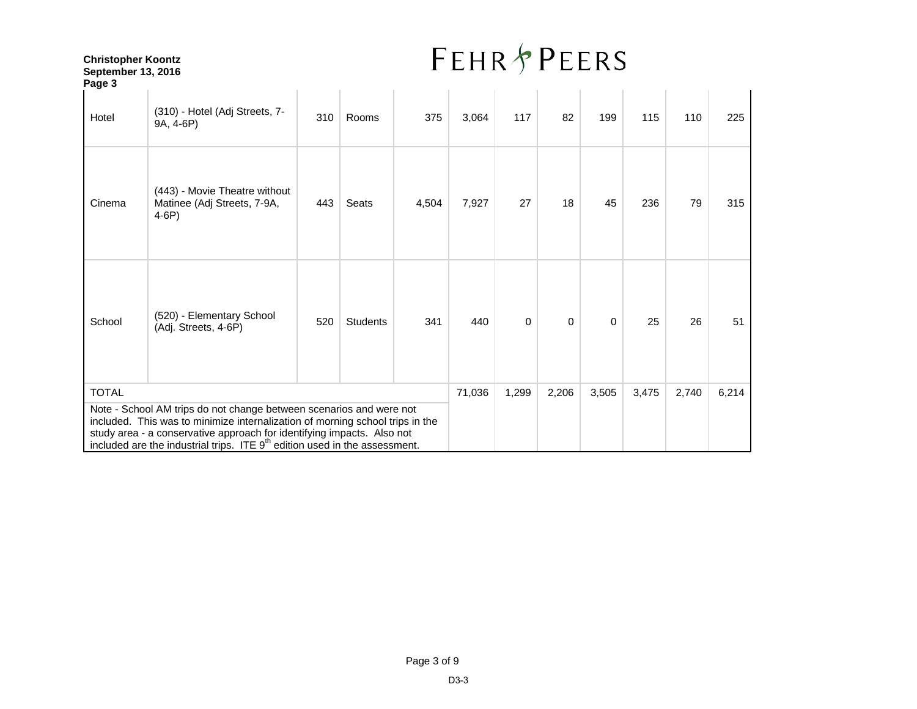### **FEHR & PEERS**

| Page 3                                                                                                                                                                                                                                                                                                         |                                                                          |     |                 |       |        |       |          |       |       |       |       |
|----------------------------------------------------------------------------------------------------------------------------------------------------------------------------------------------------------------------------------------------------------------------------------------------------------------|--------------------------------------------------------------------------|-----|-----------------|-------|--------|-------|----------|-------|-------|-------|-------|
| Hotel                                                                                                                                                                                                                                                                                                          | (310) - Hotel (Adj Streets, 7-<br>9A, 4-6P)                              | 310 | Rooms           | 375   | 3,064  | 117   | 82       | 199   | 115   | 110   | 225   |
| Cinema                                                                                                                                                                                                                                                                                                         | (443) - Movie Theatre without<br>Matinee (Adj Streets, 7-9A,<br>$4-6P$ ) | 443 | Seats           | 4,504 | 7,927  | 27    | 18       | 45    | 236   | 79    | 315   |
| School                                                                                                                                                                                                                                                                                                         | (520) - Elementary School<br>(Adj. Streets, 4-6P)                        | 520 | <b>Students</b> | 341   | 440    | 0     | $\Omega$ | 0     | 25    | 26    | 51    |
| <b>TOTAL</b>                                                                                                                                                                                                                                                                                                   |                                                                          |     |                 |       | 71,036 | 1,299 | 2,206    | 3,505 | 3,475 | 2,740 | 6,214 |
| Note - School AM trips do not change between scenarios and were not<br>included. This was to minimize internalization of morning school trips in the<br>study area - a conservative approach for identifying impacts. Also not<br>included are the industrial trips. ITE $9th$ edition used in the assessment. |                                                                          |     |                 |       |        |       |          |       |       |       |       |

**Christopher Koontz September 13, 2016**

Page 3 of 9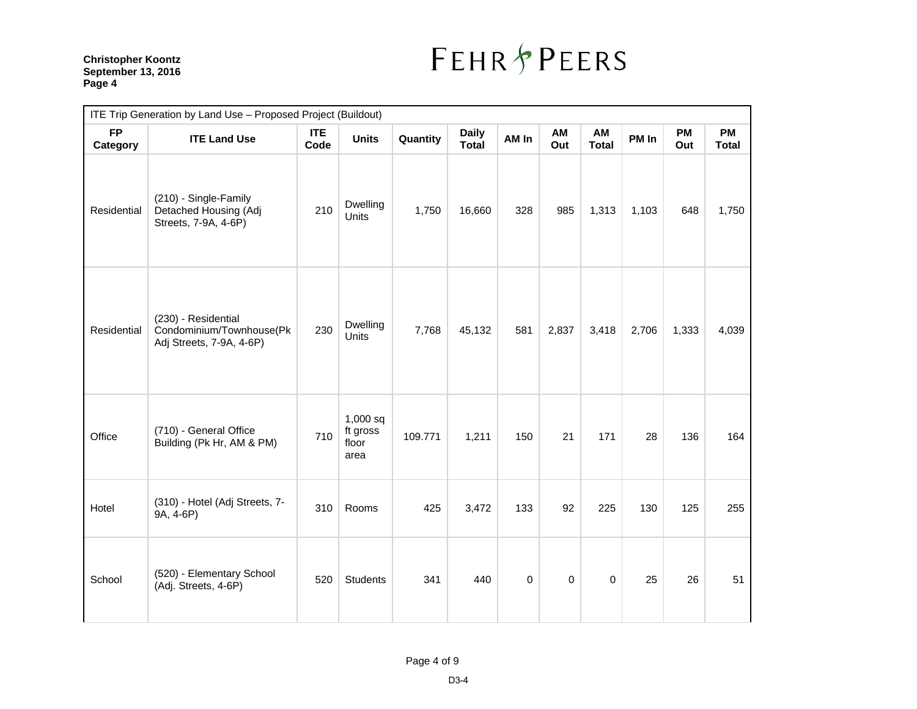#### **Christopher Koontz September 13, 2016 Page 4**

### **FEHR & PEERS**

| ITE Trip Generation by Land Use - Proposed Project (Buildout) |                                                                             |                    |                                         |          |                       |       |           |                    |       |           |                           |
|---------------------------------------------------------------|-----------------------------------------------------------------------------|--------------------|-----------------------------------------|----------|-----------------------|-------|-----------|--------------------|-------|-----------|---------------------------|
| <b>FP</b><br>Category                                         | <b>ITE Land Use</b>                                                         | <b>ITE</b><br>Code | <b>Units</b>                            | Quantity | <b>Daily</b><br>Total | AM In | AM<br>Out | AM<br><b>Total</b> | PM In | PM<br>Out | <b>PM</b><br><b>Total</b> |
| Residential                                                   | (210) - Single-Family<br>Detached Housing (Adj<br>Streets, 7-9A, 4-6P)      | 210                | Dwelling<br>Units                       | 1,750    | 16,660                | 328   | 985       | 1,313              | 1,103 | 648       | 1,750                     |
| Residential                                                   | (230) - Residential<br>Condominium/Townhouse(Pk<br>Adj Streets, 7-9A, 4-6P) | 230                | <b>Dwelling</b><br>Units                | 7,768    | 45,132                | 581   | 2,837     | 3,418              | 2,706 | 1,333     | 4,039                     |
| Office                                                        | (710) - General Office<br>Building (Pk Hr, AM & PM)                         | 710                | $1,000$ sq<br>ft gross<br>floor<br>area | 109.771  | 1,211                 | 150   | 21        | 171                | 28    | 136       | 164                       |
| Hotel                                                         | (310) - Hotel (Adj Streets, 7-<br>9A, 4-6P)                                 | 310                | Rooms                                   | 425      | 3,472                 | 133   | 92        | 225                | 130   | 125       | 255                       |
| School                                                        | (520) - Elementary School<br>(Adj. Streets, 4-6P)                           | 520                | <b>Students</b>                         | 341      | 440                   | 0     | 0         | $\Omega$           | 25    | 26        | 51                        |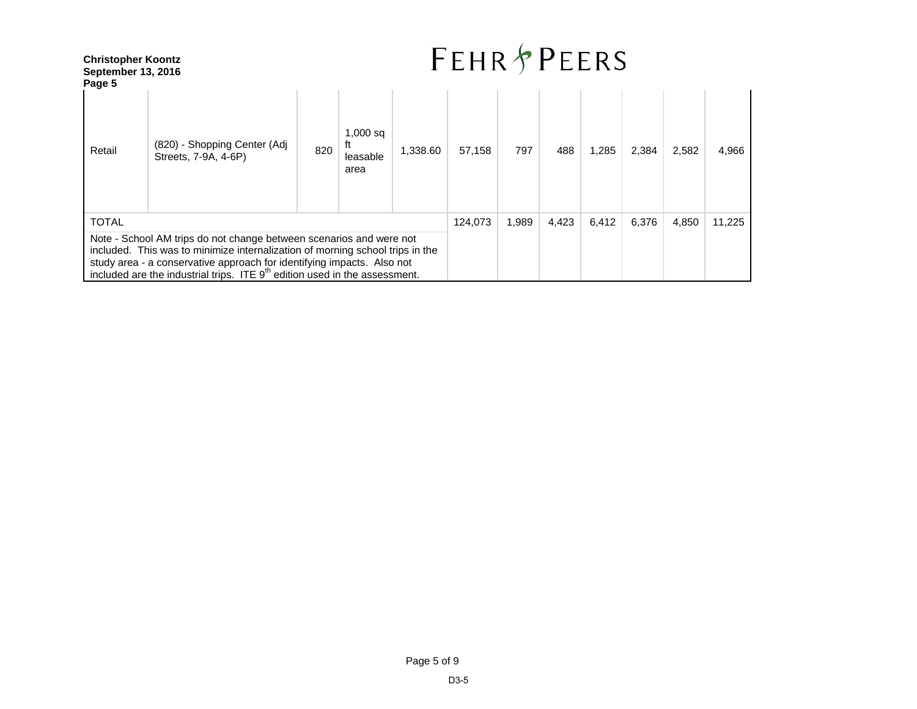| <b>Christopher Koontz</b><br>September 13, 2016<br>Page 5                                                                                                                                                                                                                                                                |                                                      |     | <b>FEHR &amp; PEERS</b>              |          |        |     |       |       |       |       |        |
|--------------------------------------------------------------------------------------------------------------------------------------------------------------------------------------------------------------------------------------------------------------------------------------------------------------------------|------------------------------------------------------|-----|--------------------------------------|----------|--------|-----|-------|-------|-------|-------|--------|
| Retail                                                                                                                                                                                                                                                                                                                   | (820) - Shopping Center (Adj<br>Streets, 7-9A, 4-6P) | 820 | $1,000$ sq<br>ft<br>leasable<br>area | 1,338.60 | 57,158 | 797 | 488   | 1,285 | 2,384 | 2,582 | 4,966  |
| <b>TOTAL</b>                                                                                                                                                                                                                                                                                                             |                                                      |     |                                      |          |        |     | 4,423 | 6,412 | 6,376 | 4,850 | 11,225 |
| Note - School AM trips do not change between scenarios and were not<br>included. This was to minimize internalization of morning school trips in the<br>study area - a conservative approach for identifying impacts. Also not<br>included are the industrial trips. ITE 9 <sup>th</sup> edition used in the assessment. |                                                      |     |                                      |          |        |     |       |       |       |       |        |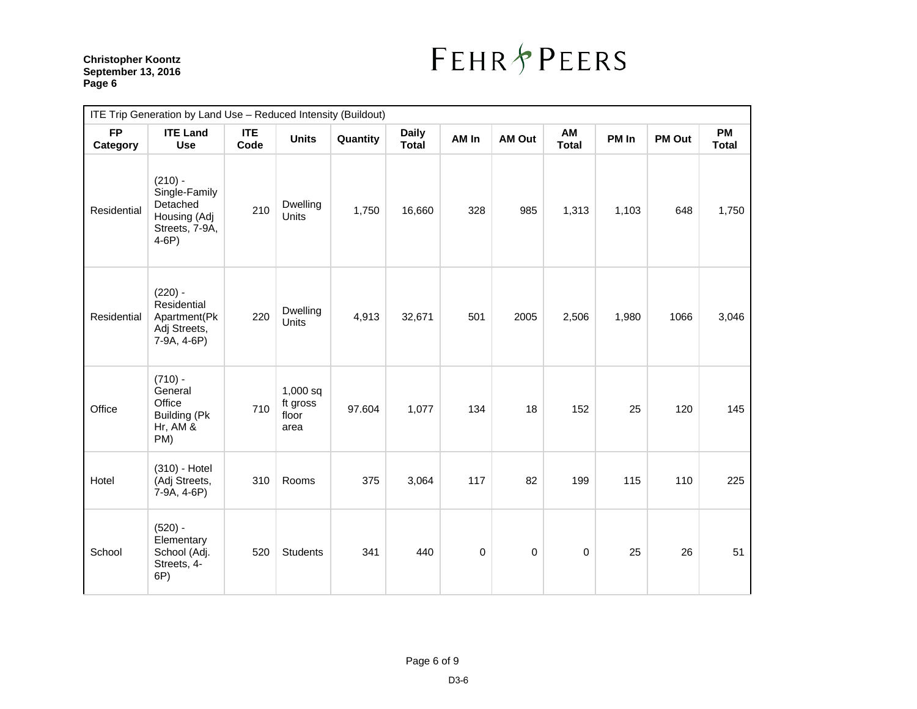#### **Christopher Koontz September 13, 2016 Page 6**

## FEHR & PEERS

| ITE Trip Generation by Land Use - Reduced Intensity (Buildout) |                                                                                      |                    |                                         |          |                              |       |             |                    |       |        |                           |
|----------------------------------------------------------------|--------------------------------------------------------------------------------------|--------------------|-----------------------------------------|----------|------------------------------|-------|-------------|--------------------|-------|--------|---------------------------|
| <b>FP</b><br>Category                                          | <b>ITE Land</b><br><b>Use</b>                                                        | <b>ITE</b><br>Code | <b>Units</b>                            | Quantity | <b>Daily</b><br><b>Total</b> | AM In | AM Out      | AM<br><b>Total</b> | PM In | PM Out | <b>PM</b><br><b>Total</b> |
| Residential                                                    | $(210) -$<br>Single-Family<br>Detached<br>Housing (Adj<br>Streets, 7-9A,<br>$4-6P$ ) | 210                | Dwelling<br>Units                       | 1,750    | 16,660                       | 328   | 985         | 1,313              | 1,103 | 648    | 1,750                     |
| Residential                                                    | $(220) -$<br>Residential<br>Apartment(Pk<br>Adj Streets,<br>7-9A, 4-6P)              | 220                | <b>Dwelling</b><br>Units                | 4,913    | 32,671                       | 501   | 2005        | 2,506              | 1,980 | 1066   | 3,046                     |
| Office                                                         | $(710) -$<br>General<br>Office<br><b>Building (Pk</b><br>Hr, AM &<br>PM)             | 710                | $1,000$ sq<br>ft gross<br>floor<br>area | 97.604   | 1,077                        | 134   | 18          | 152                | 25    | 120    | 145                       |
| Hotel                                                          | (310) - Hotel<br>(Adj Streets,<br>7-9A, 4-6P)                                        | 310                | Rooms                                   | 375      | 3,064                        | 117   | 82          | 199                | 115   | 110    | 225                       |
| School                                                         | $(520) -$<br>Elementary<br>School (Adj.<br>Streets, 4-<br>6P)                        | 520                | <b>Students</b>                         | 341      | 440                          | 0     | $\mathbf 0$ | 0                  | 25    | 26     | 51                        |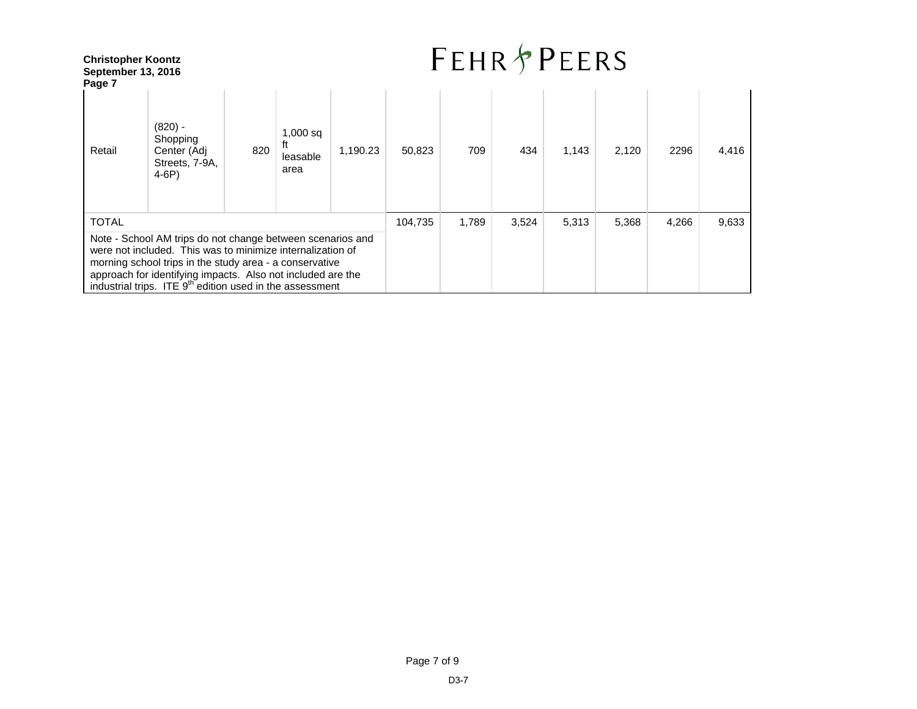| <b>Christopher Koontz</b><br>September 13, 2016<br>Page 7                                                                                                                                                                                                                                                                  |                                                                  | <b>FEHR &amp; PEERS</b> |                                      |          |         |       |       |       |       |       |       |
|----------------------------------------------------------------------------------------------------------------------------------------------------------------------------------------------------------------------------------------------------------------------------------------------------------------------------|------------------------------------------------------------------|-------------------------|--------------------------------------|----------|---------|-------|-------|-------|-------|-------|-------|
| Retail                                                                                                                                                                                                                                                                                                                     | $(820) -$<br>Shopping<br>Center (Adj<br>Streets, 7-9A,<br>$4-6P$ | 820                     | $1,000$ sq<br>ft<br>leasable<br>area | 1,190.23 | 50,823  | 709   | 434   | 1,143 | 2,120 | 2296  | 4,416 |
| <b>TOTAL</b>                                                                                                                                                                                                                                                                                                               |                                                                  |                         |                                      |          | 104,735 | 1,789 | 3,524 | 5,313 | 5,368 | 4,266 | 9,633 |
| Note - School AM trips do not change between scenarios and<br>were not included. This was to minimize internalization of<br>morning school trips in the study area - a conservative<br>approach for identifying impacts. Also not included are the<br>industrial trips. ITE 9 <sup>th</sup> edition used in the assessment |                                                                  |                         |                                      |          |         |       |       |       |       |       |       |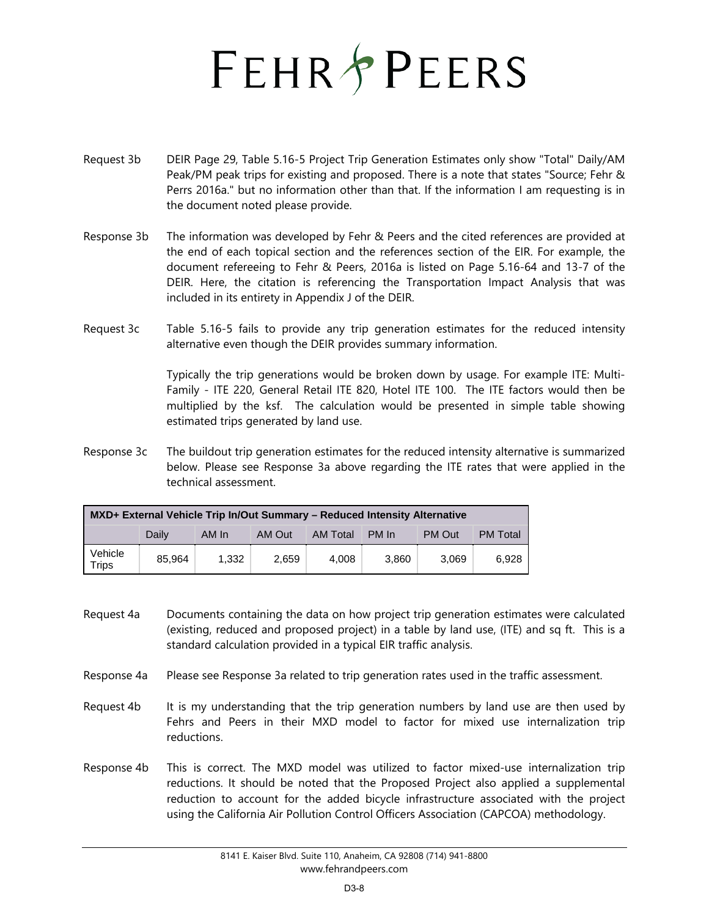## FEHR&PEERS

- Request 3b DEIR Page 29, Table 5.16-5 Project Trip Generation Estimates only show "Total" Daily/AM Peak/PM peak trips for existing and proposed. There is a note that states "Source; Fehr & Perrs 2016a." but no information other than that. If the information I am requesting is in the document noted please provide.
- Response 3b The information was developed by Fehr & Peers and the cited references are provided at the end of each topical section and the references section of the EIR. For example, the document refereeing to Fehr & Peers, 2016a is listed on Page 5.16-64 and 13-7 of the DEIR. Here, the citation is referencing the Transportation Impact Analysis that was included in its entirety in Appendix J of the DEIR.
- Request 3c Table 5.16-5 fails to provide any trip generation estimates for the reduced intensity alternative even though the DEIR provides summary information.

Typically the trip generations would be broken down by usage. For example ITE: Multi-Family - ITE 220, General Retail ITE 820, Hotel ITE 100. The ITE factors would then be multiplied by the ksf. The calculation would be presented in simple table showing estimated trips generated by land use.

Response 3c The buildout trip generation estimates for the reduced intensity alternative is summarized below. Please see Response 3a above regarding the ITE rates that were applied in the technical assessment.

| MXD+ External Vehicle Trip In/Out Summary – Reduced Intensity Alternative |        |       |        |          |       |        |                 |  |  |  |
|---------------------------------------------------------------------------|--------|-------|--------|----------|-------|--------|-----------------|--|--|--|
|                                                                           | Daily  | AM In | AM Out | AM Total | PM In | PM Out | <b>PM</b> Total |  |  |  |
| Vehicle<br><b>Trips</b>                                                   | 85.964 | 1.332 | 2.659  | 4.008    | 3.860 | 3.069  | 6.928           |  |  |  |

- Request 4a Documents containing the data on how project trip generation estimates were calculated (existing, reduced and proposed project) in a table by land use, (ITE) and sq ft. This is a standard calculation provided in a typical EIR traffic analysis.
- Response 4a Please see Response 3a related to trip generation rates used in the traffic assessment.
- Request 4b It is my understanding that the trip generation numbers by land use are then used by Fehrs and Peers in their MXD model to factor for mixed use internalization trip reductions.
- Response 4b This is correct. The MXD model was utilized to factor mixed-use internalization trip reductions. It should be noted that the Proposed Project also applied a supplemental reduction to account for the added bicycle infrastructure associated with the project using the California Air Pollution Control Officers Association (CAPCOA) methodology.